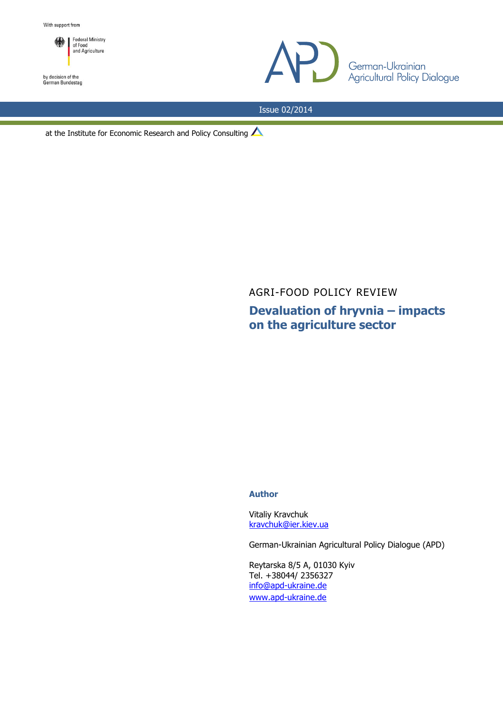

by decision of the<br>German Bundestag



Issue 02/2014

at the Institute for Economic Research and Policy Consulting

AGRI-FOOD POLICY REVIEW

**Devaluation of hryvnia – impacts on the agriculture sector**

### **Author**

Vitaliy Kravchuk [kravchuk@ier.kiev.ua](mailto:kravchuk@ier.kiev.ua)

German-Ukrainian Agricultural Policy Dialogue (APD)

Reytarska 8/5 A, 01030 Kyiv Tel. +38044/ 2356327 [info@apd-ukraine.de](mailto:info@apd-ukraine.de) [www.apd-ukraine.de](http://www.apd-ukraine.de/)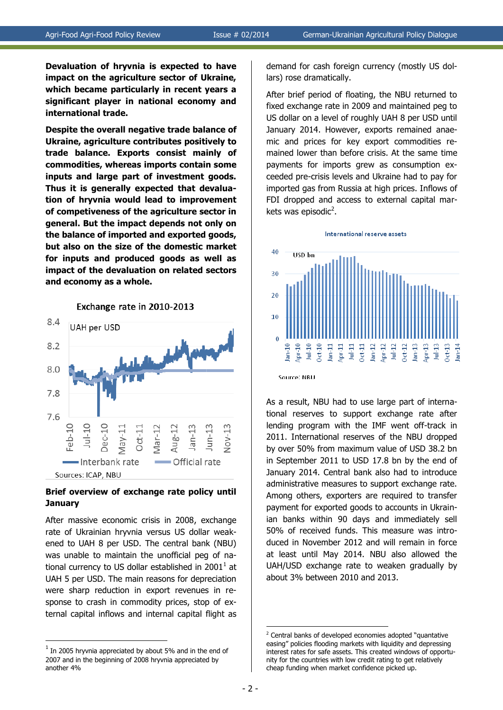**Devaluation of hryvnia is expected to have impact on the agriculture sector of Ukraine, which became particularly in recent years a significant player in national economy and international trade.** 

**Despite the overall negative trade balance of Ukraine, agriculture contributes positively to trade balance. Exports consist mainly of commodities, whereas imports contain some inputs and large part of investment goods. Thus it is generally expected that devaluation of hryvnia would lead to improvement of competiveness of the agriculture sector in general. But the impact depends not only on the balance of imported and exported goods, but also on the size of the domestic market for inputs and produced goods as well as impact of the devaluation on related sectors and economy as a whole.**



# **Brief overview of exchange rate policy until January**

After massive economic crisis in 2008, exchange rate of Ukrainian hryvnia versus US dollar weakened to UAH 8 per USD. The central bank (NBU) was unable to maintain the unofficial peg of national currency to US dollar established in 2001<sup>1</sup> at UAH 5 per USD. The main reasons for depreciation were sharp reduction in export revenues in response to crash in commodity prices, stop of external capital inflows and internal capital flight as

<u>.</u>

demand for cash foreign currency (mostly US dollars) rose dramatically.

After brief period of floating, the NBU returned to fixed exchange rate in 2009 and maintained peg to US dollar on a level of roughly UAH 8 per USD until January 2014. However, exports remained anaemic and prices for key export commodities remained lower than before crisis. At the same time payments for imports grew as consumption exceeded pre-crisis levels and Ukraine had to pay for imported gas from Russia at high prices. Inflows of FDI dropped and access to external capital markets was episodic<sup>2</sup>.



As a result, NBU had to use large part of international reserves to support exchange rate after lending program with the IMF went off-track in 2011. International reserves of the NBU dropped by over 50% from maximum value of USD 38.2 bn in September 2011 to USD 17.8 bn by the end of January 2014. Central bank also had to introduce administrative measures to support exchange rate. Among others, exporters are required to transfer payment for exported goods to accounts in Ukrainian banks within 90 days and immediately sell 50% of received funds. This measure was introduced in November 2012 and will remain in force at least until May 2014. NBU also allowed the UAH/USD exchange rate to weaken gradually by about 3% between 2010 and 2013.

 $<sup>1</sup>$  In 2005 hryvnia appreciated by about 5% and in the end of</sup> 2007 and in the beginning of 2008 hryvnia appreciated by another 4%

<sup>1</sup> <sup>2</sup> Central banks of developed economies adopted "quantative easing" policies flooding markets with liquidity and depressing interest rates for safe assets. This created windows of opportunity for the countries with low credit rating to get relatively cheap funding when market confidence picked up.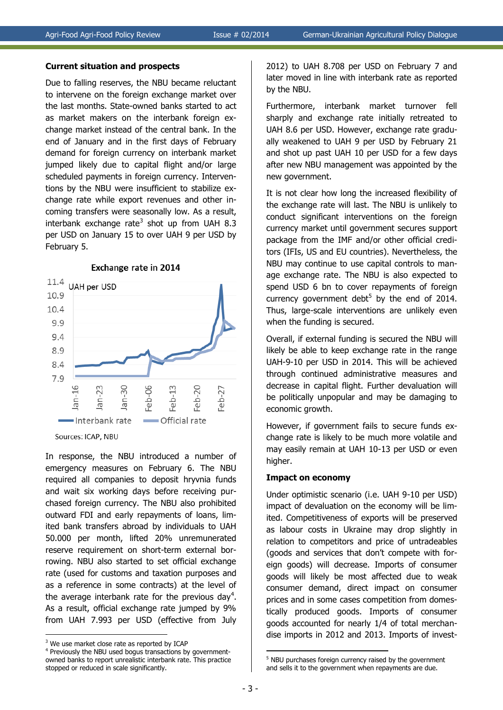#### **Current situation and prospects**

Due to falling reserves, the NBU became reluctant to intervene on the foreign exchange market over the last months. State-owned banks started to act as market makers on the interbank foreign exchange market instead of the central bank. In the end of January and in the first days of February demand for foreign currency on interbank market jumped likely due to capital flight and/or large scheduled payments in foreign currency. Interventions by the NBU were insufficient to stabilize exchange rate while export revenues and other incoming transfers were seasonally low. As a result, interbank exchange rate<sup>3</sup> shot up from UAH 8.3 per USD on January 15 to over UAH 9 per USD by February 5.

#### Exchange rate in 2014



Sources: ICAP, NBU

In response, the NBU introduced a number of emergency measures on February 6. The NBU required all companies to deposit hryvnia funds and wait six working days before receiving purchased foreign currency. The NBU also prohibited outward FDI and early repayments of loans, limited bank transfers abroad by individuals to UAH 50.000 per month, lifted 20% unremunerated reserve requirement on short-term external borrowing. NBU also started to set official exchange rate (used for customs and taxation purposes and as a reference in some contracts) at the level of the average interbank rate for the previous day<sup>4</sup>. As a result, official exchange rate jumped by 9% from UAH 7.993 per USD (effective from July

<u>.</u>

2012) to UAH 8.708 per USD on February 7 and later moved in line with interbank rate as reported by the NBU.

Furthermore, interbank market turnover fell sharply and exchange rate initially retreated to UAH 8.6 per USD. However, exchange rate gradually weakened to UAH 9 per USD by February 21 and shot up past UAH 10 per USD for a few days after new NBU management was appointed by the new government.

It is not clear how long the increased flexibility of the exchange rate will last. The NBU is unlikely to conduct significant interventions on the foreign currency market until government secures support package from the IMF and/or other official creditors (IFIs, US and EU countries). Nevertheless, the NBU may continue to use capital controls to manage exchange rate. The NBU is also expected to spend USD 6 bn to cover repayments of foreign currency government debt<sup>5</sup> by the end of 2014. Thus, large-scale interventions are unlikely even when the funding is secured.

Overall, if external funding is secured the NBU will likely be able to keep exchange rate in the range UAH-9-10 per USD in 2014. This will be achieved through continued administrative measures and decrease in capital flight. Further devaluation will be politically unpopular and may be damaging to economic growth.

However, if government fails to secure funds exchange rate is likely to be much more volatile and may easily remain at UAH 10-13 per USD or even higher.

### **Impact on economy**

Under optimistic scenario (i.e. UAH 9-10 per USD) impact of devaluation on the economy will be limited. Competitiveness of exports will be preserved as labour costs in Ukraine may drop slightly in relation to competitors and price of untradeables (goods and services that don't compete with foreign goods) will decrease. Imports of consumer goods will likely be most affected due to weak consumer demand, direct impact on consumer prices and in some cases competition from domestically produced goods. Imports of consumer goods accounted for nearly 1/4 of total merchandise imports in 2012 and 2013. Imports of invest-

1

<sup>&</sup>lt;sup>3</sup> We use market close rate as reported by ICAP

<sup>&</sup>lt;sup>4</sup> Previously the NBU used bogus transactions by governmentowned banks to report unrealistic interbank rate. This practice stopped or reduced in scale significantly.

<sup>&</sup>lt;sup>5</sup> NBU purchases foreign currency raised by the government and sells it to the government when repayments are due.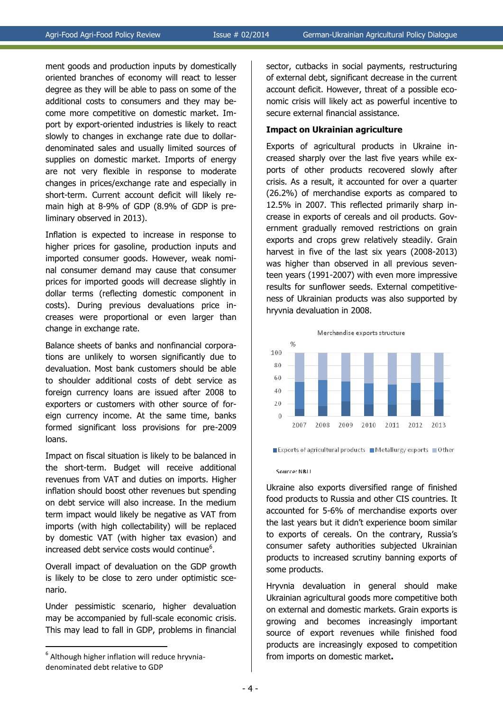ment goods and production inputs by domestically oriented branches of economy will react to lesser degree as they will be able to pass on some of the additional costs to consumers and they may become more competitive on domestic market. Import by export-oriented industries is likely to react slowly to changes in exchange rate due to dollardenominated sales and usually limited sources of supplies on domestic market. Imports of energy are not very flexible in response to moderate changes in prices/exchange rate and especially in short-term. Current account deficit will likely remain high at 8-9% of GDP (8.9% of GDP is preliminary observed in 2013).

Inflation is expected to increase in response to higher prices for gasoline, production inputs and imported consumer goods. However, weak nominal consumer demand may cause that consumer prices for imported goods will decrease slightly in dollar terms (reflecting domestic component in costs). During previous devaluations price increases were proportional or even larger than change in exchange rate.

Balance sheets of banks and nonfinancial corporations are unlikely to worsen significantly due to devaluation. Most bank customers should be able to shoulder additional costs of debt service as foreign currency loans are issued after 2008 to exporters or customers with other source of foreign currency income. At the same time, banks formed significant loss provisions for pre-2009 loans.

Impact on fiscal situation is likely to be balanced in the short-term. Budget will receive additional revenues from VAT and duties on imports. Higher inflation should boost other revenues but spending on debt service will also increase. In the medium term impact would likely be negative as VAT from imports (with high collectability) will be replaced by domestic VAT (with higher tax evasion) and increased debt service costs would continue<sup>6</sup>.

Overall impact of devaluation on the GDP growth is likely to be close to zero under optimistic scenario.

Under pessimistic scenario, higher devaluation may be accompanied by full-scale economic crisis. This may lead to fall in GDP, problems in financial

<u>.</u>

sector, cutbacks in social payments, restructuring of external debt, significant decrease in the current account deficit. However, threat of a possible economic crisis will likely act as powerful incentive to secure external financial assistance.

### **Impact on Ukrainian agriculture**

Exports of agricultural products in Ukraine increased sharply over the last five years while exports of other products recovered slowly after crisis. As a result, it accounted for over a quarter (26.2%) of merchandise exports as compared to 12.5% in 2007. This reflected primarily sharp increase in exports of cereals and oil products. Government gradually removed restrictions on grain exports and crops grew relatively steadily. Grain harvest in five of the last six years (2008-2013) was higher than observed in all previous seventeen years (1991-2007) with even more impressive results for sunflower seeds. External competitiveness of Ukrainian products was also supported by hryvnia devaluation in 2008.



Exports of agricultural products  $\blacksquare$  Metallurgy exports  $\blacksquare$  Other

#### Source: NRU

Ukraine also exports diversified range of finished food products to Russia and other CIS countries. It accounted for 5-6% of merchandise exports over the last years but it didn't experience boom similar to exports of cereals. On the contrary, Russia's consumer safety authorities subjected Ukrainian products to increased scrutiny banning exports of some products.

Hryvnia devaluation in general should make Ukrainian agricultural goods more competitive both on external and domestic markets. Grain exports is growing and becomes increasingly important source of export revenues while finished food products are increasingly exposed to competition from imports on domestic market**.**

 $<sup>6</sup>$  Although higher inflation will reduce hryvnia-</sup> denominated debt relative to GDP